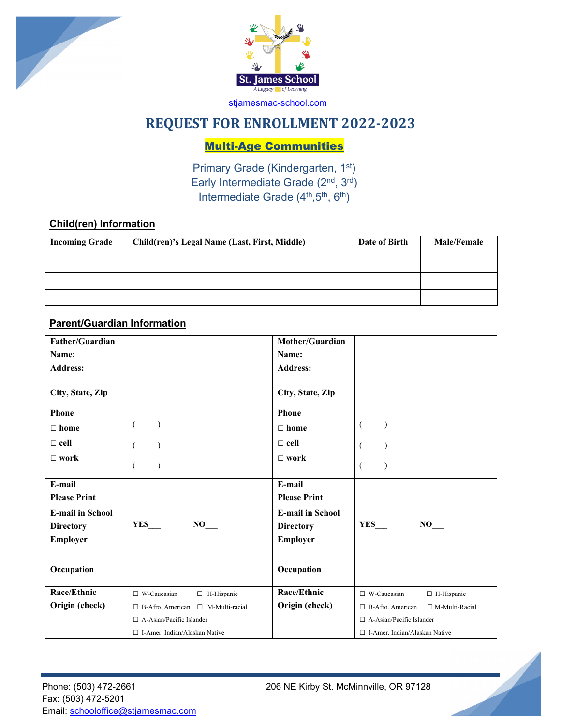



# **REQUEST FOR ENROLLMENT 2022-2023**

Multi-Age Communities

Primary Grade (Kindergarten, 1st) Early Intermediate Grade (2<sup>nd</sup>, 3<sup>rd</sup>) Intermediate Grade  $(4<sup>th</sup>,5<sup>th</sup>, 6<sup>th</sup>)$ 

# **Child(ren) Information**

| <b>Incoming Grade</b> | Child(ren)'s Legal Name (Last, First, Middle) | Date of Birth | <b>Male/Female</b> |
|-----------------------|-----------------------------------------------|---------------|--------------------|
|                       |                                               |               |                    |
|                       |                                               |               |                    |
|                       |                                               |               |                    |

# **Parent/Guardian Information**

| Father/Guardian         |                                               | Mother/Guardian         |                                                  |
|-------------------------|-----------------------------------------------|-------------------------|--------------------------------------------------|
| Name:                   |                                               | Name:                   |                                                  |
| <b>Address:</b>         |                                               | <b>Address:</b>         |                                                  |
|                         |                                               |                         |                                                  |
| City, State, Zip        |                                               | City, State, Zip        |                                                  |
| <b>Phone</b>            |                                               | Phone                   |                                                  |
| $\Box$ home             | $\overline{ }$                                | $\Box$ home             | €                                                |
| $\Box$ cell             |                                               | $\Box$ cell             | €                                                |
| $\Box$ work             |                                               | $\Box$ work             |                                                  |
|                         |                                               |                         | €                                                |
| E-mail                  |                                               | E-mail                  |                                                  |
| <b>Please Print</b>     |                                               | <b>Please Print</b>     |                                                  |
| <b>E-mail in School</b> |                                               | <b>E-mail in School</b> |                                                  |
| <b>Directory</b>        | YES<br>$NO_{\_\_}$                            | <b>Directory</b>        | <b>YES</b><br>$NO_{\_\_}$                        |
| Employer                |                                               | <b>Employer</b>         |                                                  |
|                         |                                               |                         |                                                  |
| Occupation              |                                               | Occupation              |                                                  |
| Race/Ethnic             | $\Box$ W-Caucasian<br>$\Box$ H-Hispanic       | Race/Ethnic             | $\Box$ W-Caucasian<br>$\Box$ H-Hispanic          |
| Origin (check)          | $\Box$ B-Afro. American $\Box$ M-Multi-racial | Origin (check)          | $\Box$ B-Afro. American<br>$\Box$ M-Multi-Racial |
|                         | $\Box$ A-Asian/Pacific Islander               |                         | $\Box$ A-Asian/Pacific Islander                  |
|                         | $\Box$ I-Amer. Indian/Alaskan Native          |                         | $\Box$ I-Amer. Indian/Alaskan Native             |